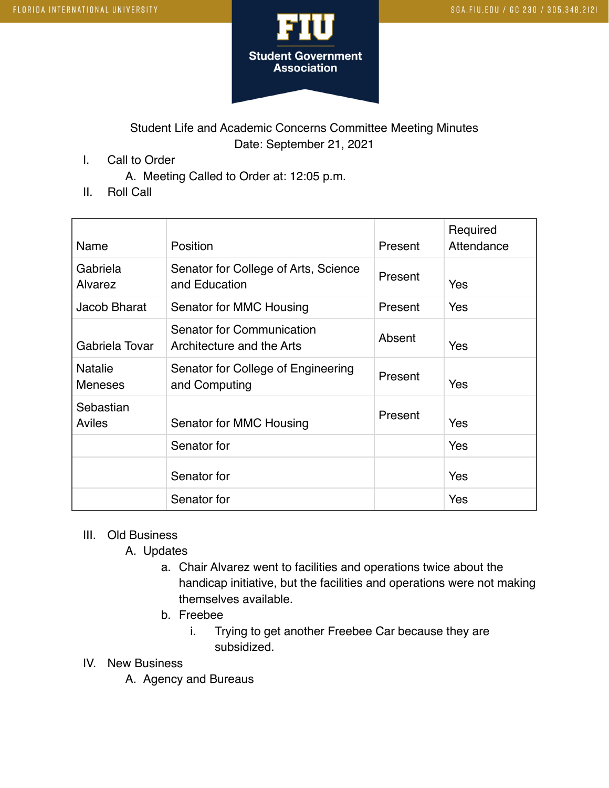

## Student Life and Academic Concerns Committee Meeting Minutes Date: September 21, 2021

I. Call to Order

A. Meeting Called to Order at: 12:05 p.m.

II. Roll Call

| Name                             | Position                                               | Present | Required<br>Attendance |
|----------------------------------|--------------------------------------------------------|---------|------------------------|
| Gabriela<br>Alvarez              | Senator for College of Arts, Science<br>and Education  | Present | Yes                    |
| Jacob Bharat                     | Senator for MMC Housing                                | Present | Yes                    |
| Gabriela Tovar                   | Senator for Communication<br>Architecture and the Arts | Absent  | <b>Yes</b>             |
| <b>Natalie</b><br><b>Meneses</b> | Senator for College of Engineering<br>and Computing    | Present | <b>Yes</b>             |
| Sebastian<br>Aviles              | Senator for MMC Housing                                | Present | Yes                    |
|                                  | Senator for                                            |         | Yes                    |
|                                  | Senator for                                            |         | Yes                    |
|                                  | Senator for                                            |         | Yes                    |

## III. Old Business

A. Updates

- a. Chair Alvarez went to facilities and operations twice about the handicap initiative, but the facilities and operations were not making themselves available.
- b. Freebee
	- i. Trying to get another Freebee Car because they are subsidized.
- IV. New Business
	- A. Agency and Bureaus